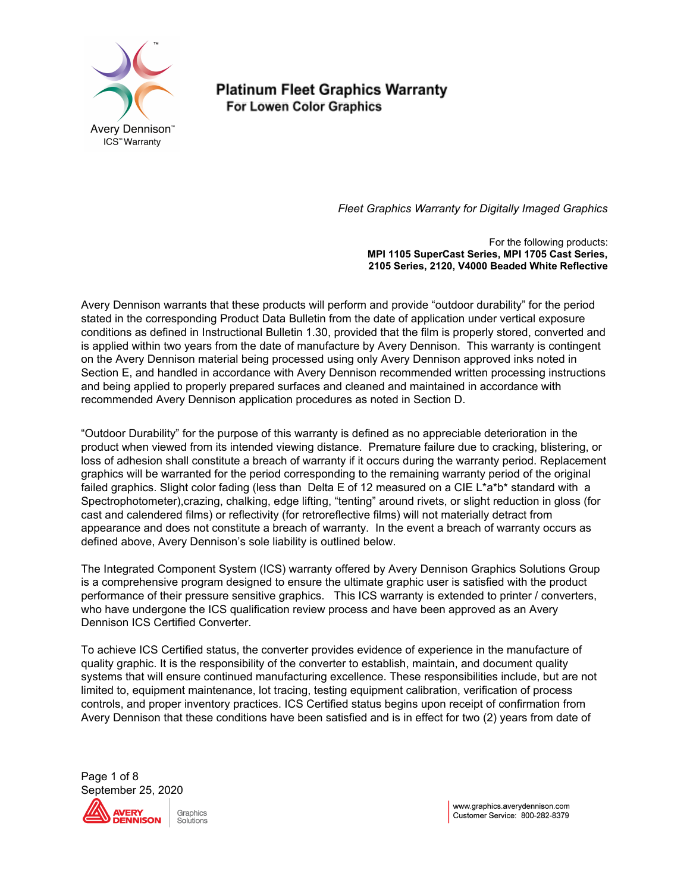

*Fleet Graphics Warranty for Digitally Imaged Graphics*

For the following products: **MPI 1105 SuperCast Series, MPI 1705 Cast Series, 2105 Series, 2120, V4000 Beaded White Reflective**

Avery Dennison warrants that these products will perform and provide "outdoor durability" for the period stated in the corresponding Product Data Bulletin from the date of application under vertical exposure conditions as defined in Instructional Bulletin 1.30, provided that the film is properly stored, converted and is applied within two years from the date of manufacture by Avery Dennison. This warranty is contingent on the Avery Dennison material being processed using only Avery Dennison approved inks noted in Section E, and handled in accordance with Avery Dennison recommended written processing instructions and being applied to properly prepared surfaces and cleaned and maintained in accordance with recommended Avery Dennison application procedures as noted in Section D.

"Outdoor Durability" for the purpose of this warranty is defined as no appreciable deterioration in the product when viewed from its intended viewing distance. Premature failure due to cracking, blistering, or loss of adhesion shall constitute a breach of warranty if it occurs during the warranty period. Replacement graphics will be warranted for the period corresponding to the remaining warranty period of the original failed graphics. Slight color fading (less than Delta E of 12 measured on a CIE L\*a\*b\* standard with a Spectrophotometer),crazing, chalking, edge lifting, "tenting" around rivets, or slight reduction in gloss (for cast and calendered films) or reflectivity (for retroreflective films) will not materially detract from appearance and does not constitute a breach of warranty. In the event a breach of warranty occurs as defined above, Avery Dennison's sole liability is outlined below.

The Integrated Component System (ICS) warranty offered by Avery Dennison Graphics Solutions Group is a comprehensive program designed to ensure the ultimate graphic user is satisfied with the product performance of their pressure sensitive graphics. This ICS warranty is extended to printer / converters, who have undergone the ICS qualification review process and have been approved as an Avery Dennison ICS Certified Converter.

To achieve ICS Certified status, the converter provides evidence of experience in the manufacture of quality graphic. It is the responsibility of the converter to establish, maintain, and document quality systems that will ensure continued manufacturing excellence. These responsibilities include, but are not limited to, equipment maintenance, lot tracing, testing equipment calibration, verification of process controls, and proper inventory practices. ICS Certified status begins upon receipt of confirmation from Avery Dennison that these conditions have been satisfied and is in effect for two (2) years from date of

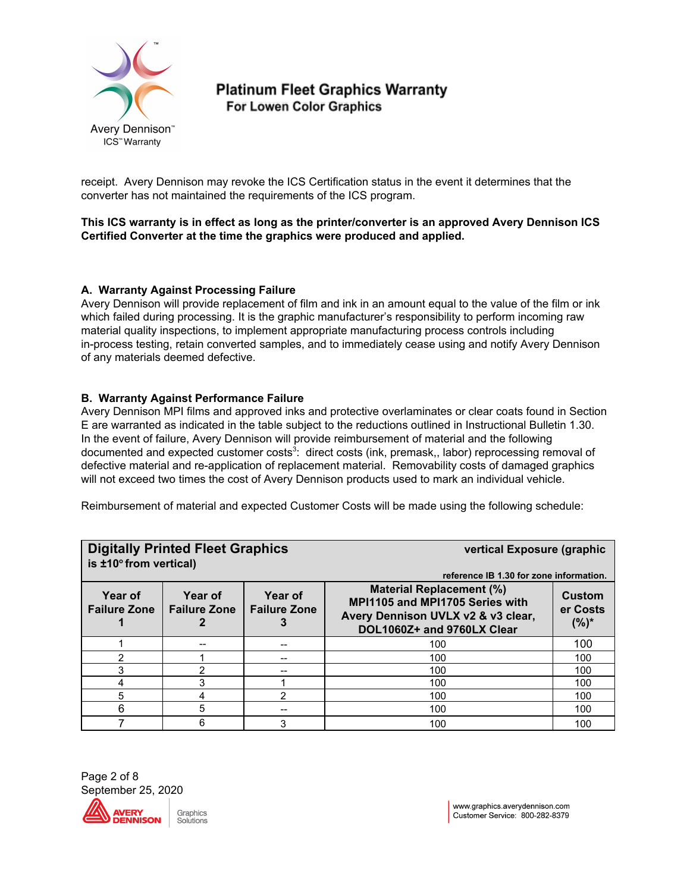

receipt. Avery Dennison may revoke the ICS Certification status in the event it determines that the converter has not maintained the requirements of the ICS program.

**This ICS warranty is in effect as long as the printer/converter is an approved Avery Dennison ICS Certified Converter at the time the graphics were produced and applied.**

## **A. Warranty Against Processing Failure**

Avery Dennison will provide replacement of film and ink in an amount equal to the value of the film or ink which failed during processing. It is the graphic manufacturer's responsibility to perform incoming raw material quality inspections, to implement appropriate manufacturing process controls including in-process testing, retain converted samples, and to immediately cease using and notify Avery Dennison of any materials deemed defective.

#### **B. Warranty Against Performance Failure**

Avery Dennison MPI films and approved inks and protective overlaminates or clear coats found in Section E are warranted as indicated in the table subject to the reductions outlined in Instructional Bulletin 1.30. In the event of failure, Avery Dennison will provide reimbursement of material and the following documented and expected customer costs<sup>3</sup>: direct costs (ink, premask,, labor) reprocessing removal of defective material and re-application of replacement material. Removability costs of damaged graphics will not exceed two times the cost of Avery Dennison products used to mark an individual vehicle.

Reimbursement of material and expected Customer Costs will be made using the following schedule:

| <b>Digitally Printed Fleet Graphics</b><br>is $±10°$ from vertical)                                |   |    | vertical Exposure (graphic                                                                                                                                                        |                               |
|----------------------------------------------------------------------------------------------------|---|----|-----------------------------------------------------------------------------------------------------------------------------------------------------------------------------------|-------------------------------|
| Year of<br>Year of<br>Year of<br><b>Failure Zone</b><br><b>Failure Zone</b><br><b>Failure Zone</b> |   |    | reference IB 1.30 for zone information.<br><b>Material Replacement (%)</b><br>MPI1105 and MPI1705 Series with<br>Avery Dennison UVLX v2 & v3 clear,<br>DOL1060Z+ and 9760LX Clear | Custom<br>er Costs<br>$(%)^*$ |
|                                                                                                    |   | -- | 100                                                                                                                                                                               | 100                           |
| 2                                                                                                  |   |    | 100                                                                                                                                                                               | 100                           |
|                                                                                                    |   |    | 100                                                                                                                                                                               | 100                           |
|                                                                                                    | 3 |    | 100                                                                                                                                                                               | 100                           |
| 5                                                                                                  | 4 | 2  | 100                                                                                                                                                                               | 100                           |
| 6                                                                                                  | 5 |    | 100                                                                                                                                                                               | 100                           |
|                                                                                                    | 6 | 3  | 100                                                                                                                                                                               | 100                           |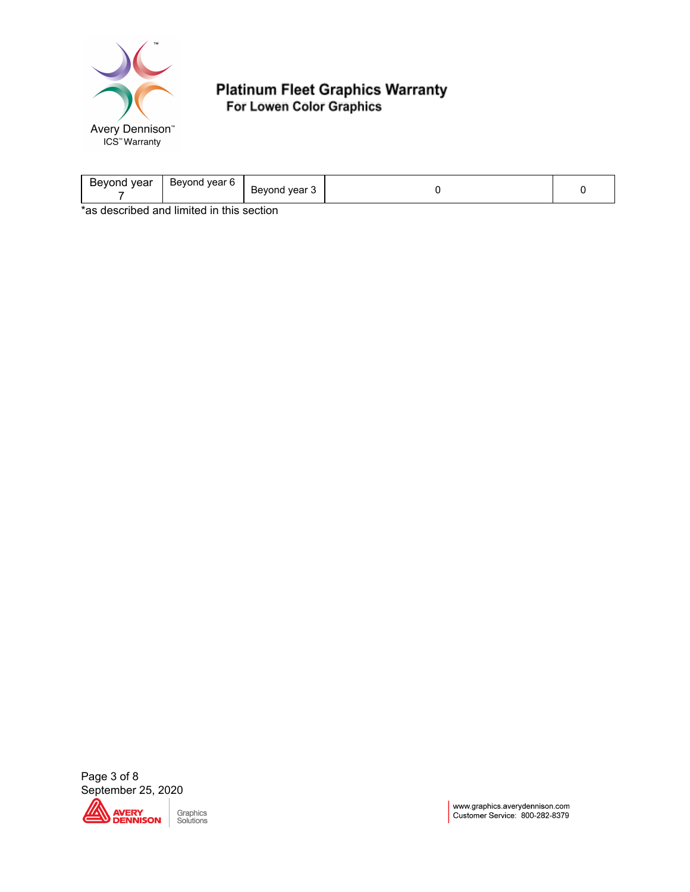

| vear<br>Beyond<br>vear<br><b>Bevond</b><br><b>b</b> | $\cdot$ vear $\cdot$<br>$-1.000$<br><b>Bev</b><br>$ -$ |  |
|-----------------------------------------------------|--------------------------------------------------------|--|
| . .<br>.<br>$\mathbf{a}$<br>. .                     | . .                                                    |  |

\*as described and limited in this section

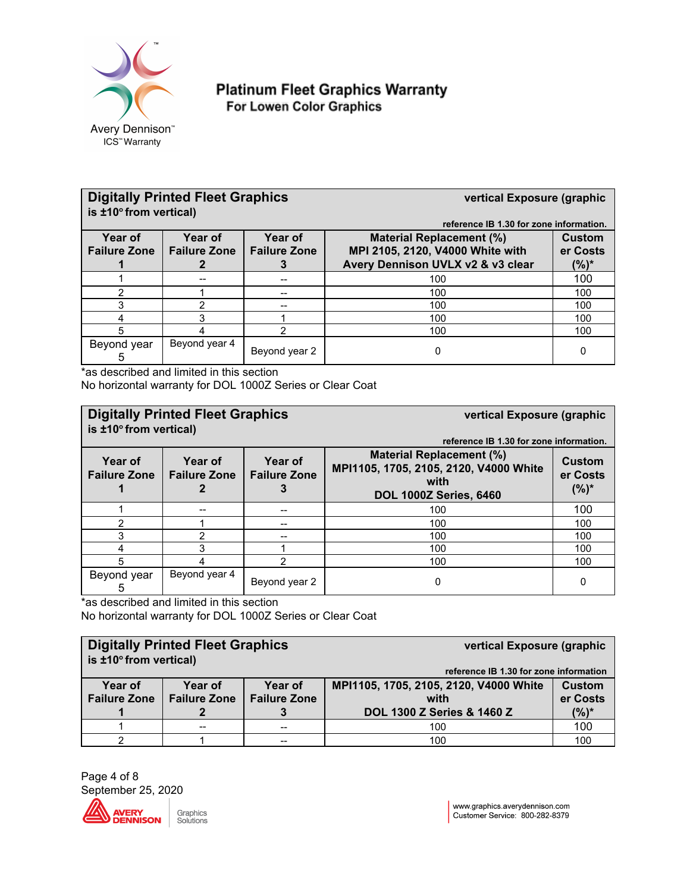

| <b>Digitally Printed Fleet Graphics</b><br>is $±10°$ from vertical)                                            |               |               | vertical Exposure (graphic<br>reference IB 1.30 for zone information.                                                                  |     |
|----------------------------------------------------------------------------------------------------------------|---------------|---------------|----------------------------------------------------------------------------------------------------------------------------------------|-----|
| Year of<br><b>Year of</b><br>Year of<br><b>Failure Zone</b><br><b>Failure Zone</b><br><b>Failure Zone</b><br>З |               |               | <b>Material Replacement (%)</b><br>Custom<br>MPI 2105, 2120, V4000 White with<br>er Costs<br>Avery Dennison UVLX v2 & v3 clear<br>(%)* |     |
|                                                                                                                |               | --            | 100                                                                                                                                    | 100 |
| ◠                                                                                                              |               | $-$           | 100                                                                                                                                    | 100 |
| 3                                                                                                              | 2             | --            | 100                                                                                                                                    | 100 |
|                                                                                                                | 3             |               | 100                                                                                                                                    | 100 |
| 5                                                                                                              |               | າ             | 100                                                                                                                                    | 100 |
| Beyond year<br>5                                                                                               | Beyond year 4 | Beyond year 2 | 0                                                                                                                                      | 0   |

\*as described and limited in this section No horizontal warranty for DOL 1000Z Series or Clear Coat

# **Digitally Printed Fleet Graphics vertical Exposure (graphic is ±10 <sup>o</sup>from vertical)**

**reference IB 1.30 for zone information.**

| Year of<br><b>Failure Zone</b> | <b>Year of</b><br><b>Failure Zone</b> | Year of<br><b>Failure Zone</b> | <b>Material Replacement (%)</b><br>MPI1105, 1705, 2105, 2120, V4000 White<br>with<br><b>DOL 1000Z Series, 6460</b> | <b>Custom</b><br>er Costs<br>$(%)^*$ |
|--------------------------------|---------------------------------------|--------------------------------|--------------------------------------------------------------------------------------------------------------------|--------------------------------------|
|                                |                                       | --                             | 100                                                                                                                | 100                                  |
|                                |                                       | $-$                            | 100                                                                                                                | 100                                  |
|                                |                                       | $- -$                          | 100                                                                                                                | 100                                  |
|                                |                                       |                                | 100                                                                                                                | 100                                  |
| 5                              |                                       |                                | 100                                                                                                                | 100                                  |
| Beyond year                    | Beyond year 4                         | Beyond year 2                  |                                                                                                                    | 0                                    |

\*as described and limited in this section

No horizontal warranty for DOL 1000Z Series or Clear Coat

| <b>Digitally Printed Fleet Graphics</b><br>is $±10°$ from vertical)                                |  |     | vertical Exposure (graphic<br>reference IB 1.30 for zone information |                    |
|----------------------------------------------------------------------------------------------------|--|-----|----------------------------------------------------------------------|--------------------|
| Year of<br>Year of<br>Year of<br><b>Failure Zone</b><br><b>Failure Zone</b><br><b>Failure Zone</b> |  |     | MPI1105, 1705, 2105, 2120, V4000 White<br>with                       | Custom<br>er Costs |
|                                                                                                    |  |     | DOL 1300 Z Series & 1460 Z                                           | $(%)^*$            |
|                                                                                                    |  | $-$ | 100                                                                  | 100                |
|                                                                                                    |  | --  | 100                                                                  | 100                |

Page 4 of 8 September 25, 2020



Graphics Solutions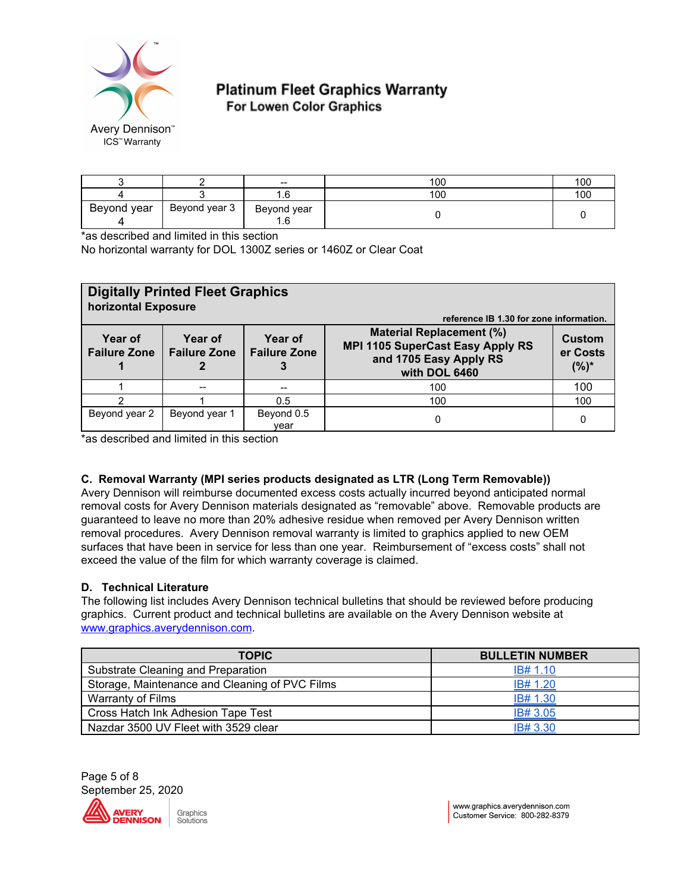

|             |               | $\hspace{0.05cm}$  | 100 | 100 |
|-------------|---------------|--------------------|-----|-----|
|             |               | ⌒<br>l.b           | 100 | 100 |
| Beyond year | Beyond year 3 | Beyond year<br>1.6 |     |     |

\*as described and limited in this section

No horizontal warranty for DOL 1300Z series or 1460Z or Clear Coat

| <b>Digitally Printed Fleet Graphics</b><br>horizontal Exposure<br>reference IB 1.30 for zone information. |               |                    |                                                                                                                       |                               |
|-----------------------------------------------------------------------------------------------------------|---------------|--------------------|-----------------------------------------------------------------------------------------------------------------------|-------------------------------|
| Year of<br>Year of<br>Year of<br><b>Failure Zone</b><br><b>Failure Zone</b><br><b>Failure Zone</b>        |               |                    | <b>Material Replacement (%)</b><br><b>MPI 1105 SuperCast Easy Apply RS</b><br>and 1705 Easy Apply RS<br>with DOL 6460 | Custom<br>er Costs<br>$(%)^*$ |
|                                                                                                           |               | $\hspace{0.05cm}$  | 100                                                                                                                   | 100                           |
|                                                                                                           |               | 0.5                | 100                                                                                                                   | 100                           |
| Beyond year 2                                                                                             | Beyond year 1 | Beyond 0.5<br>vear | 0                                                                                                                     | 0                             |

\*as described and limited in this section

## **C. Removal Warranty (MPI series products designated as LTR (Long Term Removable))**

Avery Dennison will reimburse documented excess costs actually incurred beyond anticipated normal removal costs for Avery Dennison materials designated as "removable" above. Removable products are guaranteed to leave no more than 20% adhesive residue when removed per Avery Dennison written removal procedures. Avery Dennison removal warranty is limited to graphics applied to new OEM surfaces that have been in service for less than one year. Reimbursement of "excess costs" shall not exceed the value of the film for which warranty coverage is claimed.

#### **D. Technical Literature**

The following list includes Avery Dennison technical bulletins that should be reviewed before producing graphics. Current product and technical bulletins are available on the Avery Dennison website at [www.graphics.averydennison.com.](http://www.graphics.averydennison.com/)

| <b>TOPIC</b>                                   | <b>BULLETIN NUMBER</b> |
|------------------------------------------------|------------------------|
| Substrate Cleaning and Preparation             | IB# 1.10               |
| Storage, Maintenance and Cleaning of PVC Films | IB# 1.20               |
| <b>Warranty of Films</b>                       | IB# 1.30               |
| Cross Hatch Ink Adhesion Tape Test             | IB# 3.05               |
| Nazdar 3500 UV Fleet with 3529 clear           | IB# 3.30               |



Graphics Solutions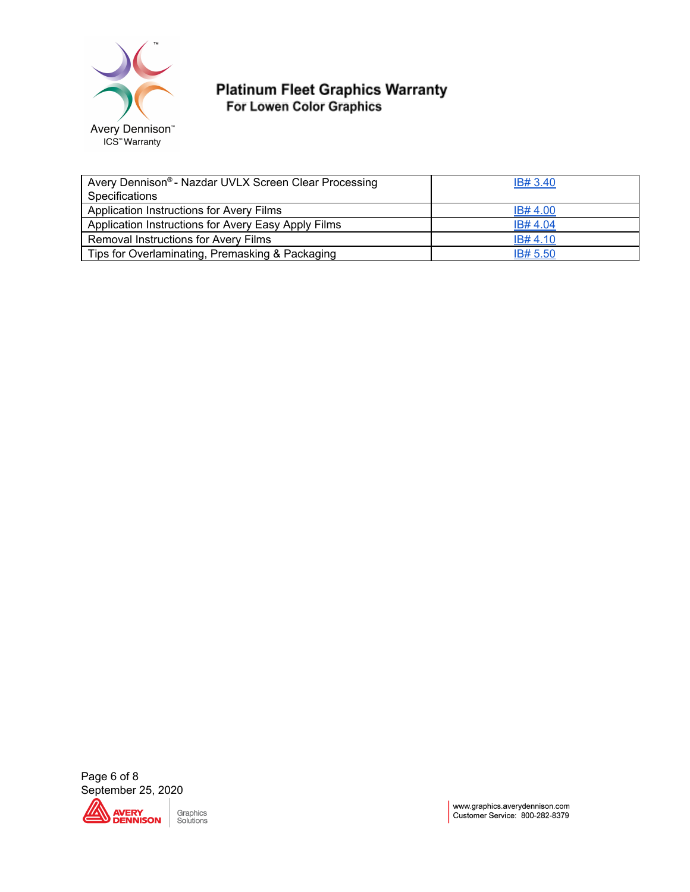

| Avery Dennison® - Nazdar UVLX Screen Clear Processing | IB# 3.40 |
|-------------------------------------------------------|----------|
| Specifications                                        |          |
| Application Instructions for Avery Films              | IB# 4.00 |
| Application Instructions for Avery Easy Apply Films   | IB# 4.04 |
| Removal Instructions for Avery Films                  | IB# 4.10 |
| Tips for Overlaminating, Premasking & Packaging       | IB# 5.50 |

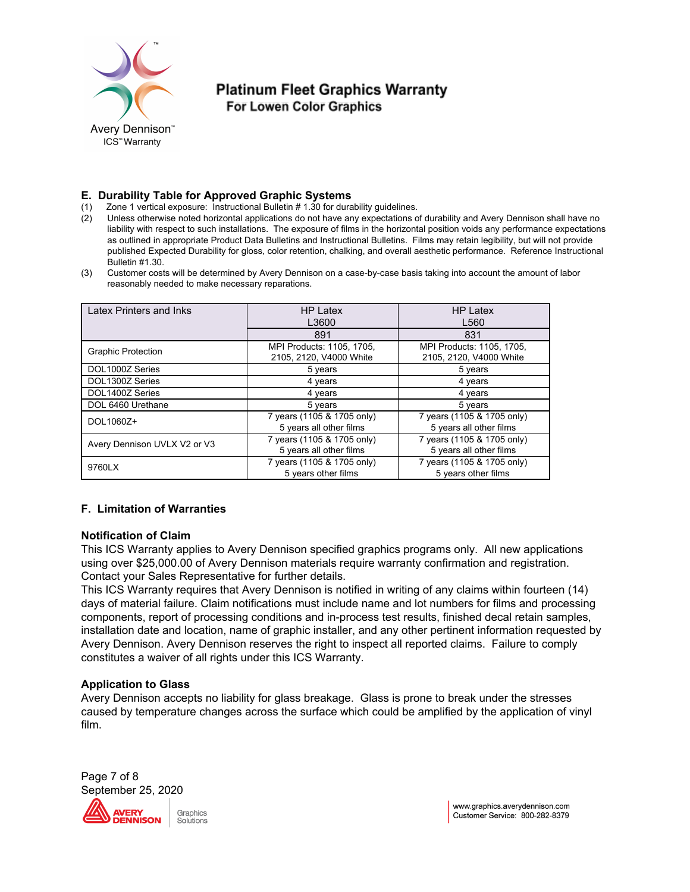

#### **E. Durability Table for Approved Graphic Systems**

- (1) Zone 1 vertical exposure: Instructional Bulletin # 1.30 for durability guidelines.
- (2) Unless otherwise noted horizontal applications do not have any expectations of durability and Avery Dennison shall have no liability with respect to such installations. The exposure of films in the horizontal position voids any performance expectations as outlined in appropriate Product Data Bulletins and Instructional Bulletins. Films may retain legibility, but will not provide published Expected Durability for gloss, color retention, chalking, and overall aesthetic performance. Reference Instructional Bulletin #1.30.
- (3) Customer costs will be determined by Avery Dennison on a case-by-case basis taking into account the amount of labor reasonably needed to make necessary reparations.

| Latex Printers and Inks      | <b>HP Latex</b><br>L3600                              | <b>HP Latex</b><br>L <sub>560</sub>                   |  |
|------------------------------|-------------------------------------------------------|-------------------------------------------------------|--|
|                              | 891                                                   | 831                                                   |  |
| <b>Graphic Protection</b>    | MPI Products: 1105, 1705,<br>2105, 2120, V4000 White  | MPI Products: 1105, 1705,<br>2105, 2120, V4000 White  |  |
| DOL1000Z Series              | 5 years                                               | 5 years                                               |  |
| DOL1300Z Series              | 4 years                                               | 4 years                                               |  |
| DOL1400Z Series              | 4 years                                               | 4 years                                               |  |
| DOL 6460 Urethane            | 5 years                                               | 5 years                                               |  |
| DOL1060Z+                    | 7 years (1105 & 1705 only)<br>5 years all other films | 7 years (1105 & 1705 only)<br>5 years all other films |  |
| Avery Dennison UVLX V2 or V3 | 7 years (1105 & 1705 only)<br>5 years all other films | 7 years (1105 & 1705 only)<br>5 years all other films |  |
| 9760LX                       | 7 years (1105 & 1705 only)<br>5 years other films     | 7 years (1105 & 1705 only)<br>5 years other films     |  |

## **F. Limitation of Warranties**

#### **Notification of Claim**

This ICS Warranty applies to Avery Dennison specified graphics programs only. All new applications using over \$25,000.00 of Avery Dennison materials require warranty confirmation and registration. Contact your Sales Representative for further details.

This ICS Warranty requires that Avery Dennison is notified in writing of any claims within fourteen (14) days of material failure. Claim notifications must include name and lot numbers for films and processing components, report of processing conditions and in-process test results, finished decal retain samples, installation date and location, name of graphic installer, and any other pertinent information requested by Avery Dennison. Avery Dennison reserves the right to inspect all reported claims. Failure to comply constitutes a waiver of all rights under this ICS Warranty.

#### **Application to Glass**

Avery Dennison accepts no liability for glass breakage. Glass is prone to break under the stresses caused by temperature changes across the surface which could be amplified by the application of vinyl film.

Page 7 of 8 September 25, 2020ÆRY **ENNISON** 

Graphics Solutions